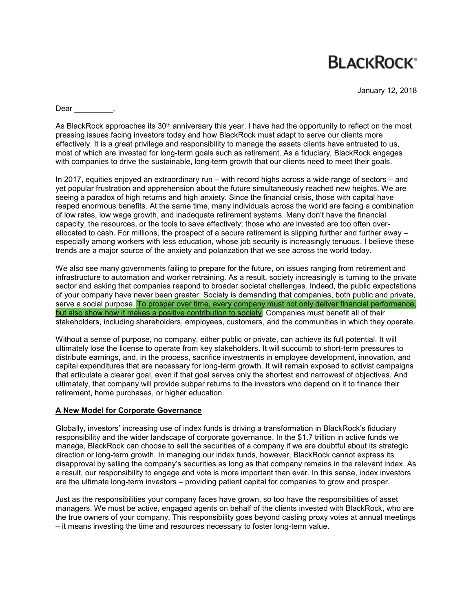## **BLACKROCK**<sup>®</sup>

January 12, 2018

Dear \_\_\_\_\_\_\_\_\_,

As BlackRock approaches its 30<sup>th</sup> anniversary this year, I have had the opportunity to reflect on the most pressing issues facing investors today and how BlackRock must adapt to serve our clients more effectively. It is a great privilege and responsibility to manage the assets clients have entrusted to us, most of which are invested for long-term goals such as retirement. As a fiduciary, BlackRock engages with companies to drive the sustainable, long-term growth that our clients need to meet their goals.

In 2017, equities enjoyed an extraordinary run – with record highs across a wide range of sectors – and yet popular frustration and apprehension about the future simultaneously reached new heights. We are seeing a paradox of high returns and high anxiety. Since the financial crisis, those with capital have reaped enormous benefits. At the same time, many individuals across the world are facing a combination of low rates, low wage growth, and inadequate retirement systems. Many don't have the financial capacity, the resources, or the tools to save effectively; those who *are* invested are too often overallocated to cash. For millions, the prospect of a secure retirement is slipping further and further away – especially among workers with less education, whose job security is increasingly tenuous. I believe these trends are a major source of the anxiety and polarization that we see across the world today.

We also see many governments failing to prepare for the future, on issues ranging from retirement and infrastructure to automation and worker retraining. As a result, society increasingly is turning to the private sector and asking that companies respond to broader societal challenges. Indeed, the public expectations of your company have never been greater. Society is demanding that companies, both public and private, serve a social purpose. To prosper over time, every company must not only deliver financial performance, but also show how it makes a positive contribution to society. Companies must benefit all of their stakeholders, including shareholders, employees, customers, and the communities in which they operate.

Without a sense of purpose, no company, either public or private, can achieve its full potential. It will ultimately lose the license to operate from key stakeholders. It will succumb to short-term pressures to distribute earnings, and, in the process, sacrifice investments in employee development, innovation, and capital expenditures that are necessary for long-term growth. It will remain exposed to activist campaigns that articulate a clearer goal, even if that goal serves only the shortest and narrowest of objectives. And ultimately, that company will provide subpar returns to the investors who depend on it to finance their retirement, home purchases, or higher education.

## **A New Model for Corporate Governance**

Globally, investors' increasing use of index funds is driving a transformation in BlackRock's fiduciary responsibility and the wider landscape of corporate governance. In the \$1.7 trillion in active funds we manage, BlackRock can choose to sell the securities of a company if we are doubtful about its strategic direction or long-term growth. In managing our index funds, however, BlackRock cannot express its disapproval by selling the company's securities as long as that company remains in the relevant index. As a result, our responsibility to engage and vote is more important than ever. In this sense, index investors are the ultimate long-term investors – providing patient capital for companies to grow and prosper.

Just as the responsibilities your company faces have grown, so too have the responsibilities of asset managers. We must be active, engaged agents on behalf of the clients invested with BlackRock, who are the true owners of your company. This responsibility goes beyond casting proxy votes at annual meetings – it means investing the time and resources necessary to foster long-term value.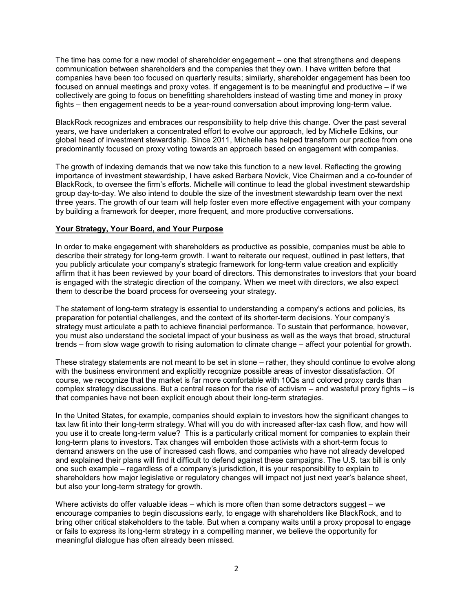The time has come for a new model of shareholder engagement – one that strengthens and deepens communication between shareholders and the companies that they own. I have written before that companies have been too focused on quarterly results; similarly, shareholder engagement has been too focused on annual meetings and proxy votes. If engagement is to be meaningful and productive – if we collectively are going to focus on benefitting shareholders instead of wasting time and money in proxy fights – then engagement needs to be a year-round conversation about improving long-term value.

BlackRock recognizes and embraces our responsibility to help drive this change. Over the past several years, we have undertaken a concentrated effort to evolve our approach, led by Michelle Edkins, our global head of investment stewardship. Since 2011, Michelle has helped transform our practice from one predominantly focused on proxy voting towards an approach based on engagement with companies.

The growth of indexing demands that we now take this function to a new level. Reflecting the growing importance of investment stewardship, I have asked Barbara Novick, Vice Chairman and a co-founder of BlackRock, to oversee the firm's efforts. Michelle will continue to lead the global investment stewardship group day-to-day. We also intend to double the size of the investment stewardship team over the next three years. The growth of our team will help foster even more effective engagement with your company by building a framework for deeper, more frequent, and more productive conversations.

## **Your Strategy, Your Board, and Your Purpose**

In order to make engagement with shareholders as productive as possible, companies must be able to describe their strategy for long-term growth. I want to reiterate our request, outlined in past letters, that you publicly articulate your company's strategic framework for long-term value creation and explicitly affirm that it has been reviewed by your board of directors. This demonstrates to investors that your board is engaged with the strategic direction of the company. When we meet with directors, we also expect them to describe the board process for overseeing your strategy.

The statement of long-term strategy is essential to understanding a company's actions and policies, its preparation for potential challenges, and the context of its shorter-term decisions. Your company's strategy must articulate a path to achieve financial performance. To sustain that performance, however, you must also understand the societal impact of your business as well as the ways that broad, structural trends – from slow wage growth to rising automation to climate change – affect your potential for growth.

These strategy statements are not meant to be set in stone – rather, they should continue to evolve along with the business environment and explicitly recognize possible areas of investor dissatisfaction. Of course, we recognize that the market is far more comfortable with 10Qs and colored proxy cards than complex strategy discussions. But a central reason for the rise of activism – and wasteful proxy fights – is that companies have not been explicit enough about their long-term strategies.

In the United States, for example, companies should explain to investors how the significant changes to tax law fit into their long-term strategy. What will you do with increased after-tax cash flow, and how will you use it to create long-term value? This is a particularly critical moment for companies to explain their long-term plans to investors. Tax changes will embolden those activists with a short-term focus to demand answers on the use of increased cash flows, and companies who have not already developed and explained their plans will find it difficult to defend against these campaigns. The U.S. tax bill is only one such example – regardless of a company's jurisdiction, it is your responsibility to explain to shareholders how major legislative or regulatory changes will impact not just next year's balance sheet, but also your long-term strategy for growth.

Where activists do offer valuable ideas – which is more often than some detractors suggest – we encourage companies to begin discussions early, to engage with shareholders like BlackRock, and to bring other critical stakeholders to the table. But when a company waits until a proxy proposal to engage or fails to express its long-term strategy in a compelling manner, we believe the opportunity for meaningful dialogue has often already been missed.